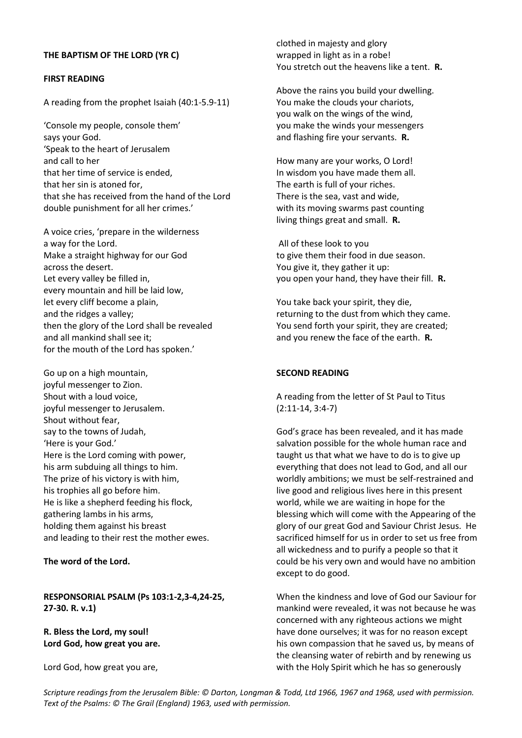#### **THE BAPTISM OF THE LORD (YR C)**

#### **FIRST READING**

A reading from the prophet Isaiah (40:1-5.9-11)

'Console my people, console them' says your God. 'Speak to the heart of Jerusalem and call to her that her time of service is ended, that her sin is atoned for, that she has received from the hand of the Lord double punishment for all her crimes.'

A voice cries, 'prepare in the wilderness a way for the Lord. Make a straight highway for our God across the desert. Let every valley be filled in, every mountain and hill be laid low, let every cliff become a plain, and the ridges a valley; then the glory of the Lord shall be revealed and all mankind shall see it; for the mouth of the Lord has spoken.'

Go up on a high mountain, joyful messenger to Zion. Shout with a loud voice, joyful messenger to Jerusalem. Shout without fear, say to the towns of Judah, 'Here is your God.' Here is the Lord coming with power, his arm subduing all things to him. The prize of his victory is with him, his trophies all go before him. He is like a shepherd feeding his flock, gathering lambs in his arms, holding them against his breast and leading to their rest the mother ewes.

**The word of the Lord.**

**RESPONSORIAL PSALM (Ps 103:1-2,3-4,24-25, 27-30. R. v.1)**

**R. Bless the Lord, my soul! Lord God, how great you are.**

Lord God, how great you are,

clothed in majesty and glory wrapped in light as in a robe! You stretch out the heavens like a tent. **R.**

Above the rains you build your dwelling. You make the clouds your chariots, you walk on the wings of the wind, you make the winds your messengers and flashing fire your servants. **R.**

How many are your works, O Lord! In wisdom you have made them all. The earth is full of your riches. There is the sea, vast and wide, with its moving swarms past counting living things great and small. **R.**

All of these look to you to give them their food in due season. You give it, they gather it up: you open your hand, they have their fill. **R.**

You take back your spirit, they die, returning to the dust from which they came. You send forth your spirit, they are created; and you renew the face of the earth. **R.**

## **SECOND READING**

A reading from the letter of St Paul to Titus (2:11-14, 3:4-7)

God's grace has been revealed, and it has made salvation possible for the whole human race and taught us that what we have to do is to give up everything that does not lead to God, and all our worldly ambitions; we must be self-restrained and live good and religious lives here in this present world, while we are waiting in hope for the blessing which will come with the Appearing of the glory of our great God and Saviour Christ Jesus. He sacrificed himself for us in order to set us free from all wickedness and to purify a people so that it could be his very own and would have no ambition except to do good.

When the kindness and love of God our Saviour for mankind were revealed, it was not because he was concerned with any righteous actions we might have done ourselves; it was for no reason except his own compassion that he saved us, by means of the cleansing water of rebirth and by renewing us with the Holy Spirit which he has so generously

*Scripture readings from the Jerusalem Bible: © Darton, Longman & Todd, Ltd 1966, 1967 and 1968, used with permission. Text of the Psalms: © The Grail (England) 1963, used with permission.*